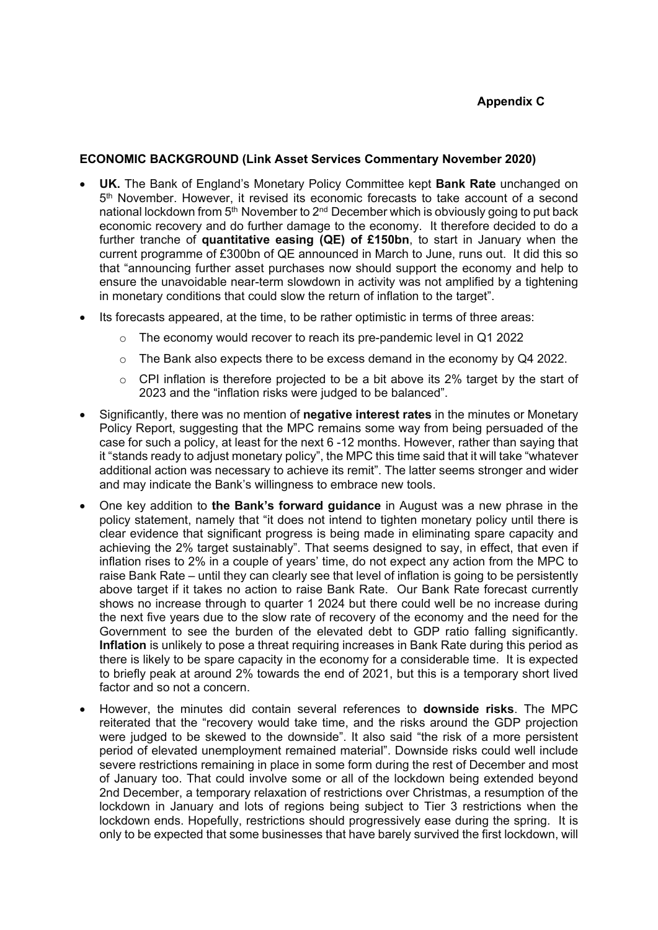# **ECONOMIC BACKGROUND (Link Asset Services Commentary November 2020)**

- **UK.** The Bank of England's Monetary Policy Committee kept **Bank Rate** unchanged on 5 th November. However, it revised its economic forecasts to take account of a second national lockdown from 5<sup>th</sup> November to 2<sup>nd</sup> December which is obviously going to put back economic recovery and do further damage to the economy. It therefore decided to do a further tranche of **quantitative easing (QE) of £150bn**, to start in January when the current programme of £300bn of QE announced in March to June, runs out. It did this so that "announcing further asset purchases now should support the economy and help to ensure the unavoidable near-term slowdown in activity was not amplified by a tightening in monetary conditions that could slow the return of inflation to the target".
- Its forecasts appeared, at the time, to be rather optimistic in terms of three areas:
	- o The economy would recover to reach its pre-pandemic level in Q1 2022
	- $\circ$  The Bank also expects there to be excess demand in the economy by Q4 2022.
	- o CPI inflation is therefore projected to be a bit above its 2% target by the start of 2023 and the "inflation risks were judged to be balanced".
- Significantly, there was no mention of **negative interest rates** in the minutes or Monetary Policy Report, suggesting that the MPC remains some way from being persuaded of the case for such a policy, at least for the next 6 -12 months. However, rather than saying that it "stands ready to adjust monetary policy", the MPC this time said that it will take "whatever additional action was necessary to achieve its remit". The latter seems stronger and wider and may indicate the Bank's willingness to embrace new tools.
- One key addition to **the Bank's forward guidance** in August was a new phrase in the policy statement, namely that "it does not intend to tighten monetary policy until there is clear evidence that significant progress is being made in eliminating spare capacity and achieving the 2% target sustainably". That seems designed to say, in effect, that even if inflation rises to 2% in a couple of years' time, do not expect any action from the MPC to raise Bank Rate – until they can clearly see that level of inflation is going to be persistently above target if it takes no action to raise Bank Rate. Our Bank Rate forecast currently shows no increase through to quarter 1 2024 but there could well be no increase during the next five years due to the slow rate of recovery of the economy and the need for the Government to see the burden of the elevated debt to GDP ratio falling significantly. **Inflation** is unlikely to pose a threat requiring increases in Bank Rate during this period as there is likely to be spare capacity in the economy for a considerable time. It is expected to briefly peak at around 2% towards the end of 2021, but this is a temporary short lived factor and so not a concern.
- However, the minutes did contain several references to **downside risks**. The MPC reiterated that the "recovery would take time, and the risks around the GDP projection were judged to be skewed to the downside". It also said "the risk of a more persistent period of elevated unemployment remained material". Downside risks could well include severe restrictions remaining in place in some form during the rest of December and most of January too. That could involve some or all of the lockdown being extended beyond 2nd December, a temporary relaxation of restrictions over Christmas, a resumption of the lockdown in January and lots of regions being subject to Tier 3 restrictions when the lockdown ends. Hopefully, restrictions should progressively ease during the spring. It is only to be expected that some businesses that have barely survived the first lockdown, will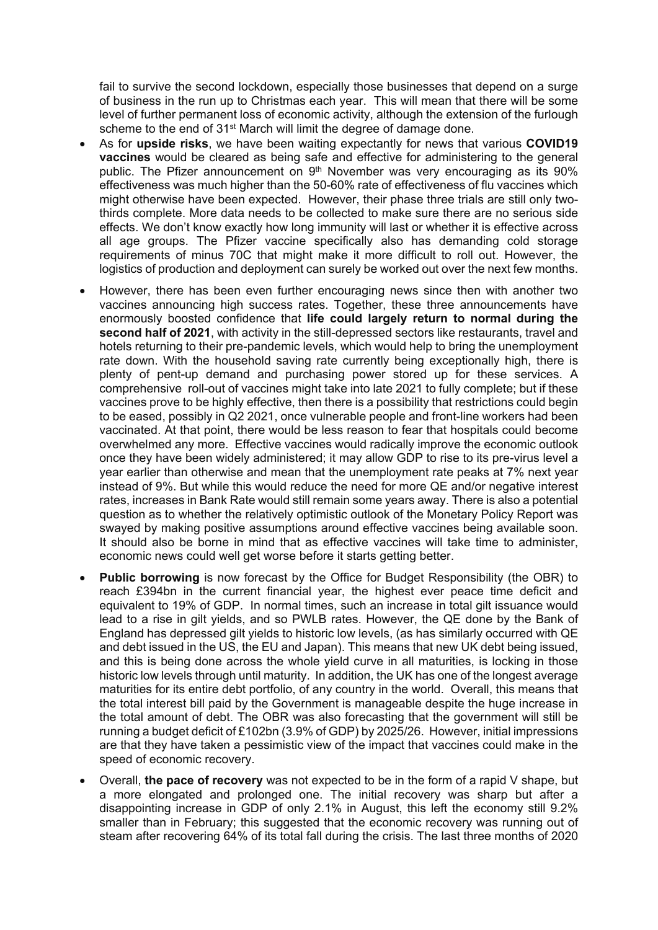fail to survive the second lockdown, especially those businesses that depend on a surge of business in the run up to Christmas each year. This will mean that there will be some level of further permanent loss of economic activity, although the extension of the furlough scheme to the end of 31<sup>st</sup> March will limit the degree of damage done.

- As for **upside risks**, we have been waiting expectantly for news that various **COVID19 vaccines** would be cleared as being safe and effective for administering to the general public. The Pfizer announcement on 9<sup>th</sup> November was very encouraging as its 90% effectiveness was much higher than the 50-60% rate of effectiveness of flu vaccines which might otherwise have been expected. However, their phase three trials are still only twothirds complete. More data needs to be collected to make sure there are no serious side effects. We don't know exactly how long immunity will last or whether it is effective across all age groups. The Pfizer vaccine specifically also has demanding cold storage requirements of minus 70C that might make it more difficult to roll out. However, the logistics of production and deployment can surely be worked out over the next few months.
- However, there has been even further encouraging news since then with another two vaccines announcing high success rates. Together, these three announcements have enormously boosted confidence that **life could largely return to normal during the second half of 2021**, with activity in the still-depressed sectors like restaurants, travel and hotels returning to their pre-pandemic levels, which would help to bring the unemployment rate down. With the household saving rate currently being exceptionally high, there is plenty of pent-up demand and purchasing power stored up for these services. A comprehensive roll-out of vaccines might take into late 2021 to fully complete; but if these vaccines prove to be highly effective, then there is a possibility that restrictions could begin to be eased, possibly in Q2 2021, once vulnerable people and front-line workers had been vaccinated. At that point, there would be less reason to fear that hospitals could become overwhelmed any more. Effective vaccines would radically improve the economic outlook once they have been widely administered; it may allow GDP to rise to its pre-virus level a year earlier than otherwise and mean that the unemployment rate peaks at 7% next year instead of 9%. But while this would reduce the need for more QE and/or negative interest rates, increases in Bank Rate would still remain some years away. There is also a potential question as to whether the relatively optimistic outlook of the Monetary Policy Report was swayed by making positive assumptions around effective vaccines being available soon. It should also be borne in mind that as effective vaccines will take time to administer, economic news could well get worse before it starts getting better.
- **Public borrowing** is now forecast by the Office for Budget Responsibility (the OBR) to reach £394bn in the current financial year, the highest ever peace time deficit and equivalent to 19% of GDP. In normal times, such an increase in total gilt issuance would lead to a rise in gilt yields, and so PWLB rates. However, the QE done by the Bank of England has depressed gilt yields to historic low levels, (as has similarly occurred with QE and debt issued in the US, the EU and Japan). This means that new UK debt being issued, and this is being done across the whole yield curve in all maturities, is locking in those historic low levels through until maturity. In addition, the UK has one of the longest average maturities for its entire debt portfolio, of any country in the world. Overall, this means that the total interest bill paid by the Government is manageable despite the huge increase in the total amount of debt. The OBR was also forecasting that the government will still be running a budget deficit of £102bn (3.9% of GDP) by 2025/26. However, initial impressions are that they have taken a pessimistic view of the impact that vaccines could make in the speed of economic recovery.
- Overall, **the pace of recovery** was not expected to be in the form of a rapid V shape, but a more elongated and prolonged one. The initial recovery was sharp but after a disappointing increase in GDP of only 2.1% in August, this left the economy still 9.2% smaller than in February; this suggested that the economic recovery was running out of steam after recovering 64% of its total fall during the crisis. The last three months of 2020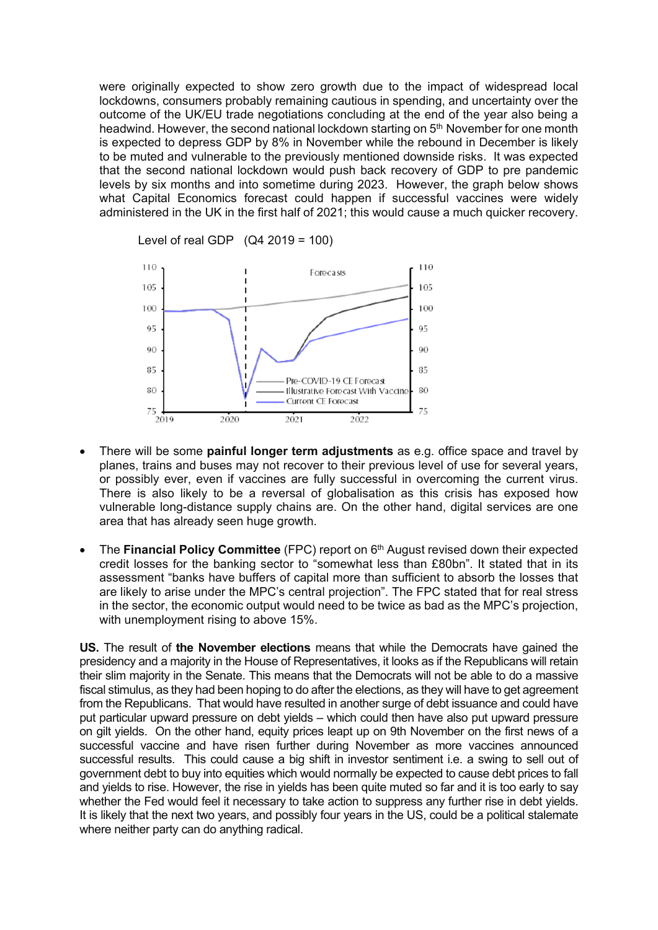were originally expected to show zero growth due to the impact of widespread local lockdowns, consumers probably remaining cautious in spending, and uncertainty over the outcome of the UK/EU trade negotiations concluding at the end of the year also being a headwind. However, the second national lockdown starting on 5<sup>th</sup> November for one month is expected to depress GDP by 8% in November while the rebound in December is likely to be muted and vulnerable to the previously mentioned downside risks. It was expected that the second national lockdown would push back recovery of GDP to pre pandemic levels by six months and into sometime during 2023. However, the graph below shows what Capital Economics forecast could happen if successful vaccines were widely administered in the UK in the first half of 2021; this would cause a much quicker recovery.



Level of real GDP  $(Q4 2019 = 100)$ 

- There will be some **painful longer term adjustments** as e.g. office space and travel by planes, trains and buses may not recover to their previous level of use for several years, or possibly ever, even if vaccines are fully successful in overcoming the current virus. There is also likely to be a reversal of globalisation as this crisis has exposed how vulnerable long-distance supply chains are. On the other hand, digital services are one area that has already seen huge growth.
- The **Financial Policy Committee** (FPC) report on 6<sup>th</sup> August revised down their expected credit losses for the banking sector to "somewhat less than £80bn". It stated that in its assessment "banks have buffers of capital more than sufficient to absorb the losses that are likely to arise under the MPC's central projection". The FPC stated that for real stress in the sector, the economic output would need to be twice as bad as the MPC's projection, with unemployment rising to above 15%.

**US.** The result of **the November elections** means that while the Democrats have gained the presidency and a majority in the House of Representatives, it looks as if the Republicans will retain their slim majority in the Senate. This means that the Democrats will not be able to do a massive fiscal stimulus, as they had been hoping to do after the elections, as they will have to get agreement from the Republicans. That would have resulted in another surge of debt issuance and could have put particular upward pressure on debt yields – which could then have also put upward pressure on gilt yields. On the other hand, equity prices leapt up on 9th November on the first news of a successful vaccine and have risen further during November as more vaccines announced successful results. This could cause a big shift in investor sentiment i.e. a swing to sell out of government debt to buy into equities which would normally be expected to cause debt prices to fall and yields to rise. However, the rise in yields has been quite muted so far and it is too early to say whether the Fed would feel it necessary to take action to suppress any further rise in debt yields. It is likely that the next two years, and possibly four years in the US, could be a political stalemate where neither party can do anything radical.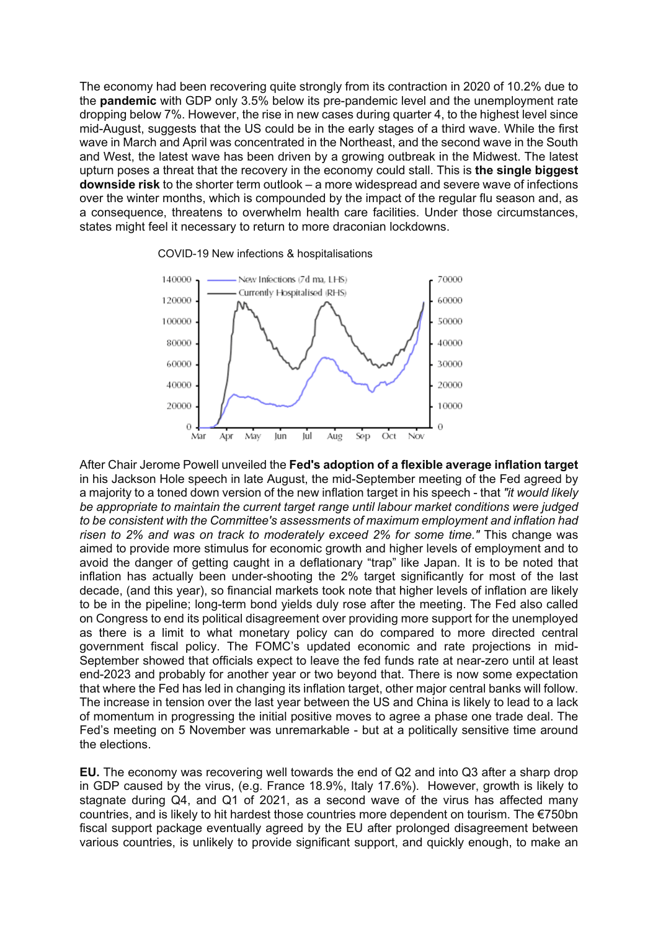The economy had been recovering quite strongly from its contraction in 2020 of 10.2% due to the **pandemic** with GDP only 3.5% below its pre-pandemic level and the unemployment rate dropping below 7%. However, the rise in new cases during quarter 4, to the highest level since mid-August, suggests that the US could be in the early stages of a third wave. While the first wave in March and April was concentrated in the Northeast, and the second wave in the South and West, the latest wave has been driven by a growing outbreak in the Midwest. The latest upturn poses a threat that the recovery in the economy could stall. This is **the single biggest downside risk** to the shorter term outlook – a more widespread and severe wave of infections over the winter months, which is compounded by the impact of the regular flu season and, as a consequence, threatens to overwhelm health care facilities. Under those circumstances, states might feel it necessary to return to more draconian lockdowns.





After Chair Jerome Powell unveiled the **Fed's adoption of a flexible average inflation target** in his Jackson Hole speech in late August, the mid-September meeting of the Fed agreed by a majority to a toned down version of the new inflation target in his speech - that *"it would likely be appropriate to maintain the current target range until labour market conditions were judged to be consistent with the Committee's assessments of maximum employment and inflation had risen to 2% and was on track to moderately exceed 2% for some time."* This change was aimed to provide more stimulus for economic growth and higher levels of employment and to avoid the danger of getting caught in a deflationary "trap" like Japan. It is to be noted that inflation has actually been under-shooting the 2% target significantly for most of the last decade, (and this year), so financial markets took note that higher levels of inflation are likely to be in the pipeline; long-term bond yields duly rose after the meeting. The Fed also called on Congress to end its political disagreement over providing more support for the unemployed as there is a limit to what monetary policy can do compared to more directed central government fiscal policy. The FOMC's updated economic and rate projections in mid-September showed that officials expect to leave the fed funds rate at near-zero until at least end-2023 and probably for another year or two beyond that. There is now some expectation that where the Fed has led in changing its inflation target, other major central banks will follow. The increase in tension over the last year between the US and China is likely to lead to a lack of momentum in progressing the initial positive moves to agree a phase one trade deal. The Fed's meeting on 5 November was unremarkable - but at a politically sensitive time around the elections.

**EU.** The economy was recovering well towards the end of Q2 and into Q3 after a sharp drop in GDP caused by the virus, (e.g. France 18.9%, Italy 17.6%). However, growth is likely to stagnate during Q4, and Q1 of 2021, as a second wave of the virus has affected many countries, and is likely to hit hardest those countries more dependent on tourism. The €750bn fiscal support package eventually agreed by the EU after prolonged disagreement between various countries, is unlikely to provide significant support, and quickly enough, to make an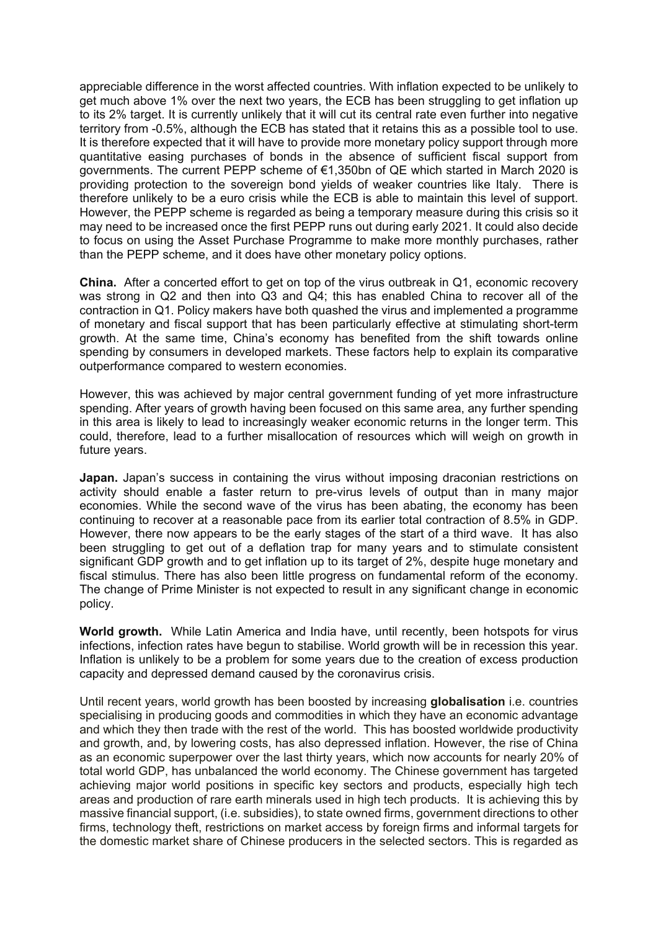appreciable difference in the worst affected countries. With inflation expected to be unlikely to get much above 1% over the next two years, the ECB has been struggling to get inflation up to its 2% target. It is currently unlikely that it will cut its central rate even further into negative territory from -0.5%, although the ECB has stated that it retains this as a possible tool to use. It is therefore expected that it will have to provide more monetary policy support through more quantitative easing purchases of bonds in the absence of sufficient fiscal support from governments. The current PEPP scheme of €1,350bn of QE which started in March 2020 is providing protection to the sovereign bond yields of weaker countries like Italy. There is therefore unlikely to be a euro crisis while the ECB is able to maintain this level of support. However, the PEPP scheme is regarded as being a temporary measure during this crisis so it may need to be increased once the first PEPP runs out during early 2021. It could also decide to focus on using the Asset Purchase Programme to make more monthly purchases, rather than the PEPP scheme, and it does have other monetary policy options.

**China.** After a concerted effort to get on top of the virus outbreak in Q1, economic recovery was strong in Q2 and then into Q3 and Q4; this has enabled China to recover all of the contraction in Q1. Policy makers have both quashed the virus and implemented a programme of monetary and fiscal support that has been particularly effective at stimulating short-term growth. At the same time, China's economy has benefited from the shift towards online spending by consumers in developed markets. These factors help to explain its comparative outperformance compared to western economies.

However, this was achieved by major central government funding of yet more infrastructure spending. After years of growth having been focused on this same area, any further spending in this area is likely to lead to increasingly weaker economic returns in the longer term. This could, therefore, lead to a further misallocation of resources which will weigh on growth in future years.

**Japan.** Japan's success in containing the virus without imposing draconian restrictions on activity should enable a faster return to pre-virus levels of output than in many major economies. While the second wave of the virus has been abating, the economy has been continuing to recover at a reasonable pace from its earlier total contraction of 8.5% in GDP. However, there now appears to be the early stages of the start of a third wave. It has also been struggling to get out of a deflation trap for many years and to stimulate consistent significant GDP growth and to get inflation up to its target of 2%, despite huge monetary and fiscal stimulus. There has also been little progress on fundamental reform of the economy. The change of Prime Minister is not expected to result in any significant change in economic policy.

**World growth.** While Latin America and India have, until recently, been hotspots for virus infections, infection rates have begun to stabilise. World growth will be in recession this year. Inflation is unlikely to be a problem for some years due to the creation of excess production capacity and depressed demand caused by the coronavirus crisis.

Until recent years, world growth has been boosted by increasing **globalisation** i.e. countries specialising in producing goods and commodities in which they have an economic advantage and which they then trade with the rest of the world. This has boosted worldwide productivity and growth, and, by lowering costs, has also depressed inflation. However, the rise of China as an economic superpower over the last thirty years, which now accounts for nearly 20% of total world GDP, has unbalanced the world economy. The Chinese government has targeted achieving major world positions in specific key sectors and products, especially high tech areas and production of rare earth minerals used in high tech products. It is achieving this by massive financial support, (i.e. subsidies), to state owned firms, government directions to other firms, technology theft, restrictions on market access by foreign firms and informal targets for the domestic market share of Chinese producers in the selected sectors. This is regarded as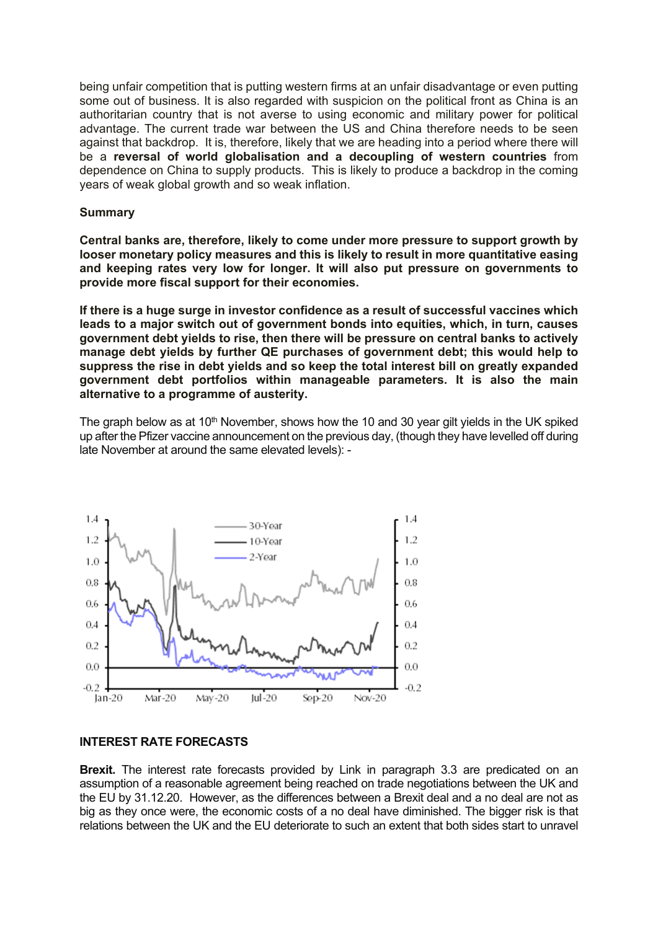being unfair competition that is putting western firms at an unfair disadvantage or even putting some out of business. It is also regarded with suspicion on the political front as China is an authoritarian country that is not averse to using economic and military power for political advantage. The current trade war between the US and China therefore needs to be seen against that backdrop. It is, therefore, likely that we are heading into a period where there will be a **reversal of world globalisation and a decoupling of western countries** from dependence on China to supply products. This is likely to produce a backdrop in the coming years of weak global growth and so weak inflation.

### **Summary**

**Central banks are, therefore, likely to come under more pressure to support growth by looser monetary policy measures and this is likely to result in more quantitative easing and keeping rates very low for longer. It will also put pressure on governments to provide more fiscal support for their economies.**

**If there is a huge surge in investor confidence as a result of successful vaccines which leads to a major switch out of government bonds into equities, which, in turn, causes government debt yields to rise, then there will be pressure on central banks to actively manage debt yields by further QE purchases of government debt; this would help to suppress the rise in debt yields and so keep the total interest bill on greatly expanded government debt portfolios within manageable parameters. It is also the main alternative to a programme of austerity.**

The graph below as at 10<sup>th</sup> November, shows how the 10 and 30 year gilt yields in the UK spiked up after the Pfizer vaccine announcement on the previous day, (though they have levelled off during late November at around the same elevated levels): -



### **INTEREST RATE FORECASTS**

**Brexit.** The interest rate forecasts provided by Link in paragraph 3.3 are predicated on an assumption of a reasonable agreement being reached on trade negotiations between the UK and the EU by 31.12.20. However, as the differences between a Brexit deal and a no deal are not as big as they once were, the economic costs of a no deal have diminished. The bigger risk is that relations between the UK and the EU deteriorate to such an extent that both sides start to unravel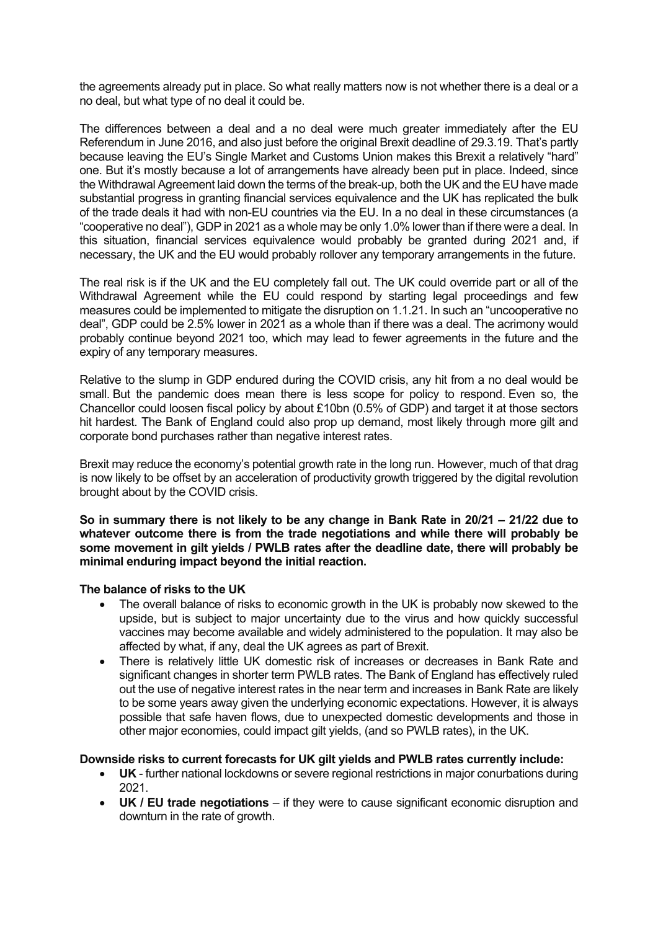the agreements already put in place. So what really matters now is not whether there is a deal or a no deal, but what type of no deal it could be.

The differences between a deal and a no deal were much greater immediately after the EU Referendum in June 2016, and also just before the original Brexit deadline of 29.3.19. That's partly because leaving the EU's Single Market and Customs Union makes this Brexit a relatively "hard" one. But it's mostly because a lot of arrangements have already been put in place. Indeed, since the Withdrawal Agreement laid down the terms of the break-up, both the UK and the EU have made substantial progress in granting financial services equivalence and the UK has replicated the bulk of the trade deals it had with non-EU countries via the EU. In a no deal in these circumstances (a "cooperative no deal"), GDP in 2021 as a whole may be only 1.0% lower than if there were a deal. In this situation, financial services equivalence would probably be granted during 2021 and, if necessary, the UK and the EU would probably rollover any temporary arrangements in the future.

The real risk is if the UK and the EU completely fall out. The UK could override part or all of the Withdrawal Agreement while the EU could respond by starting legal proceedings and few measures could be implemented to mitigate the disruption on 1.1.21. In such an "uncooperative no deal", GDP could be 2.5% lower in 2021 as a whole than if there was a deal. The acrimony would probably continue beyond 2021 too, which may lead to fewer agreements in the future and the expiry of any temporary measures.

Relative to the slump in GDP endured during the COVID crisis, any hit from a no deal would be small. But the pandemic does mean there is less scope for policy to respond. Even so, the Chancellor could loosen fiscal policy by about £10bn (0.5% of GDP) and target it at those sectors hit hardest. The Bank of England could also prop up demand, most likely through more gilt and corporate bond purchases rather than negative interest rates.

Brexit may reduce the economy's potential growth rate in the long run. However, much of that drag is now likely to be offset by an acceleration of productivity growth triggered by the digital revolution brought about by the COVID crisis.

So in summary there is not likely to be any change in Bank Rate in 20/21 – 21/22 due to **whatever outcome there is from the trade negotiations and while there will probably be some movement in gilt yields / PWLB rates after the deadline date, there will probably be minimal enduring impact beyond the initial reaction.**

#### **The balance of risks to the UK**

- The overall balance of risks to economic growth in the UK is probably now skewed to the upside, but is subject to major uncertainty due to the virus and how quickly successful vaccines may become available and widely administered to the population. It may also be affected by what, if any, deal the UK agrees as part of Brexit.
- There is relatively little UK domestic risk of increases or decreases in Bank Rate and significant changes in shorter term PWLB rates. The Bank of England has effectively ruled out the use of negative interest rates in the near term and increases in Bank Rate are likely to be some years away given the underlying economic expectations. However, it is always possible that safe haven flows, due to unexpected domestic developments and those in other major economies, could impact gilt yields, (and so PWLB rates), in the UK.

#### **Downside risks to current forecasts for UK gilt yields and PWLB rates currently include:**

- **UK** further national lockdowns or severe regional restrictions in major conurbations during 2021.
- **UK / EU trade negotiations** if they were to cause significant economic disruption and downturn in the rate of growth.